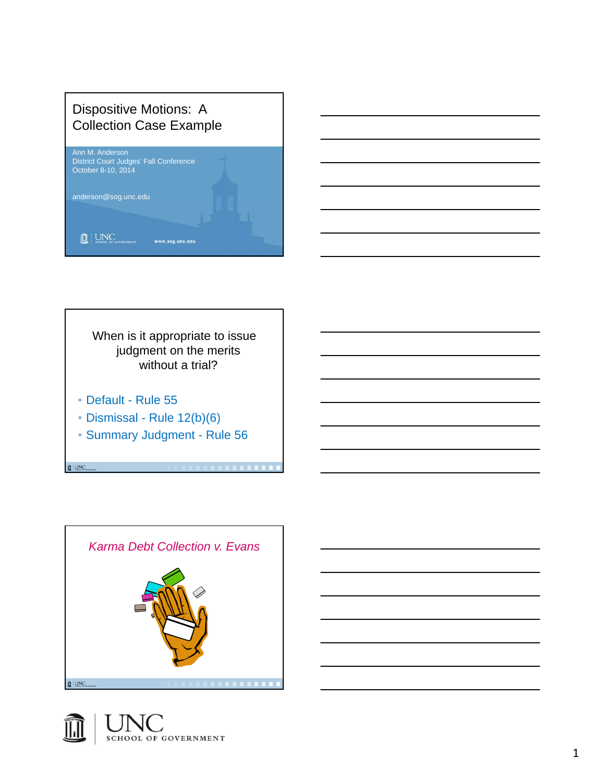# Dispositive Motions: A Collection Case Example





When is it appropriate to issue judgment on the merits without a trial?

• Default - Rule 55

**Q** UNC

- Dismissal Rule 12(b)(6)
- Summary Judgment Rule 56



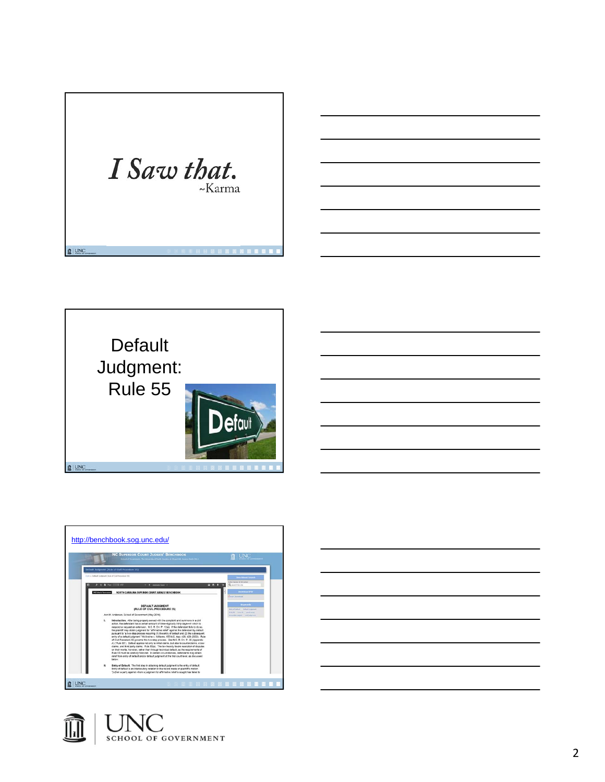





| <u> 1989 - Johann Barbara, martxa alemaniar argamento estas esperanto-se estas estas estas estas estas estas es</u> |  |  |
|---------------------------------------------------------------------------------------------------------------------|--|--|
|                                                                                                                     |  |  |
|                                                                                                                     |  |  |
|                                                                                                                     |  |  |

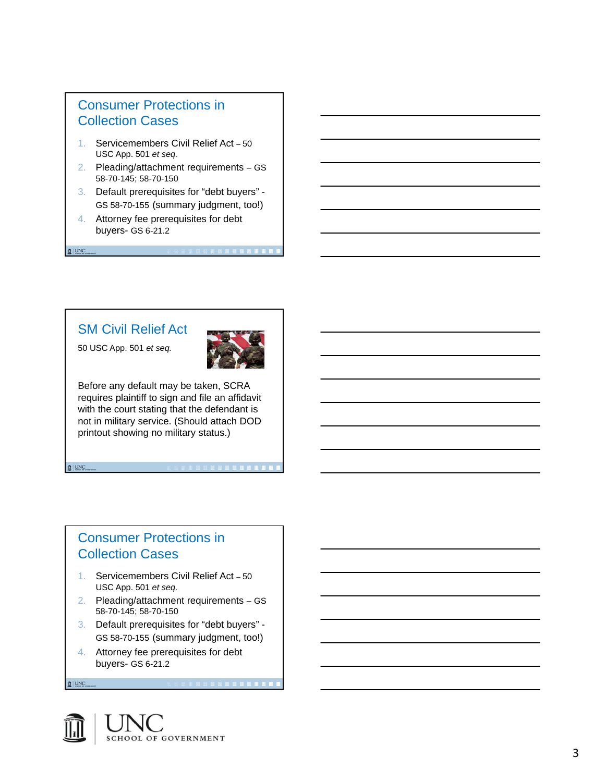## Consumer Protections in Collection Cases

- 1. Servicemembers Civil Relief Act 50 USC App. 501 *et seq.*
- 2. Pleading/attachment requirements GS 58-70-145; 58-70-150
- 3. Default prerequisites for "debt buyers" GS 58-70-155 (summary judgment, too!)
- 4. Attorney fee prerequisites for debt buyers- GS 6-21.2

## SM Civil Relief Act

50 USC App. 501 *et seq.*

**Q** UNC

**Q** UNC

**Q** UNC



Before any default may be taken, SCRA requires plaintiff to sign and file an affidavit with the court stating that the defendant is not in military service. (Should attach DOD printout showing no military status.)

## Consumer Protections in Collection Cases

- 1. Servicemembers Civil Relief Act 50 USC App. 501 *et seq.*
- 2. Pleading/attachment requirements GS 58-70-145; 58-70-150
- 3. Default prerequisites for "debt buyers" GS 58-70-155 (summary judgment, too!)

. . . . . . . . . . . . . . . . . .

4. Attorney fee prerequisites for debt buyers- GS 6-21.2

**SCHOOL OF GOVERNMENT**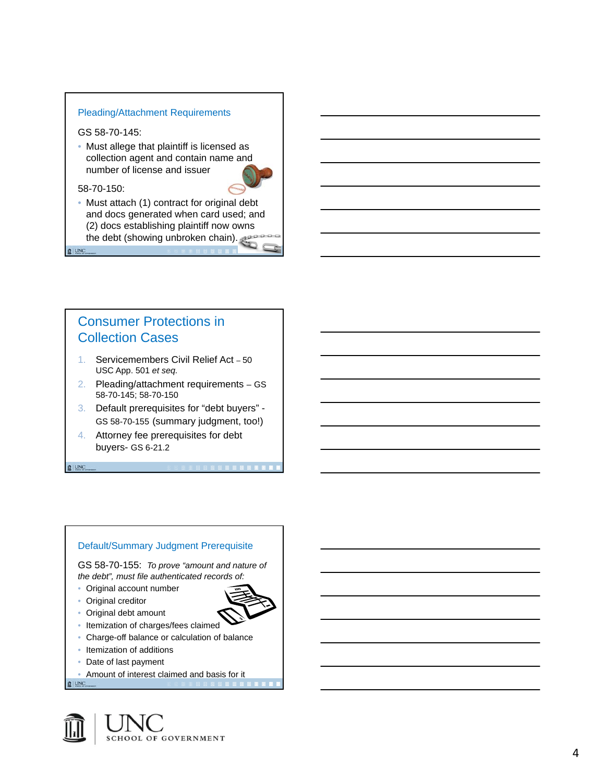#### Pleading/Attachment Requirements

GS 58-70-145:

• Must allege that plaintiff is licensed as collection agent and contain name and number of license and issuer



• Must attach (1) contract for original debt and docs generated when card used; and (2) docs establishing plaintiff now owns the debt (showing unbroken chain).

**Q** UNC

**Q** UNC

## Consumer Protections in Collection Cases

- 1. Servicemembers Civil Relief Act 50 USC App. 501 *et seq.*
- 2. Pleading/attachment requirements GS 58-70-145; 58-70-150
- 3. Default prerequisites for "debt buyers" GS 58-70-155 (summary judgment, too!)
- 4. Attorney fee prerequisites for debt buyers- GS 6-21.2



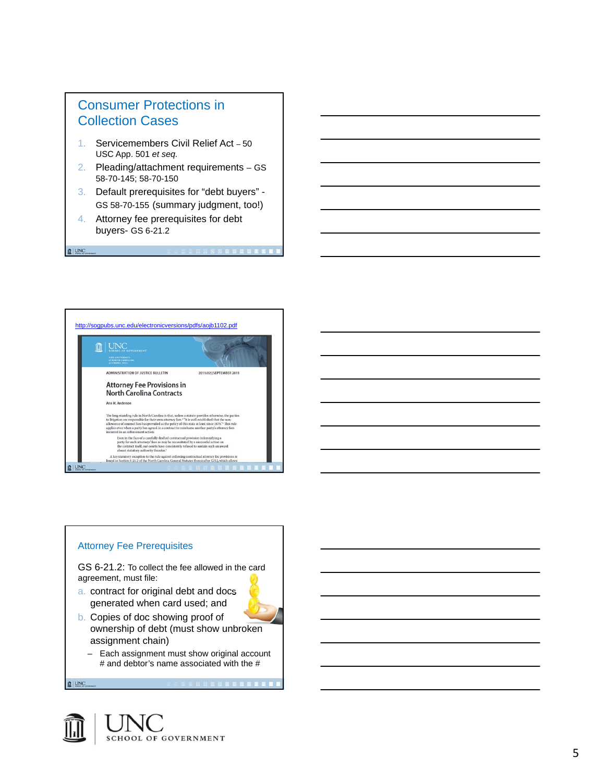## Consumer Protections in Collection Cases

- 1. Servicemembers Civil Relief Act 50 USC App. 501 *et seq.*
- 2. Pleading/attachment requirements GS 58-70-145; 58-70-150
- 3. Default prerequisites for "debt buyers" GS 58-70-155 (summary judgment, too!)
- 4. Attorney fee prerequisites for debt buyers- GS 6-21.2

**Q** UNC





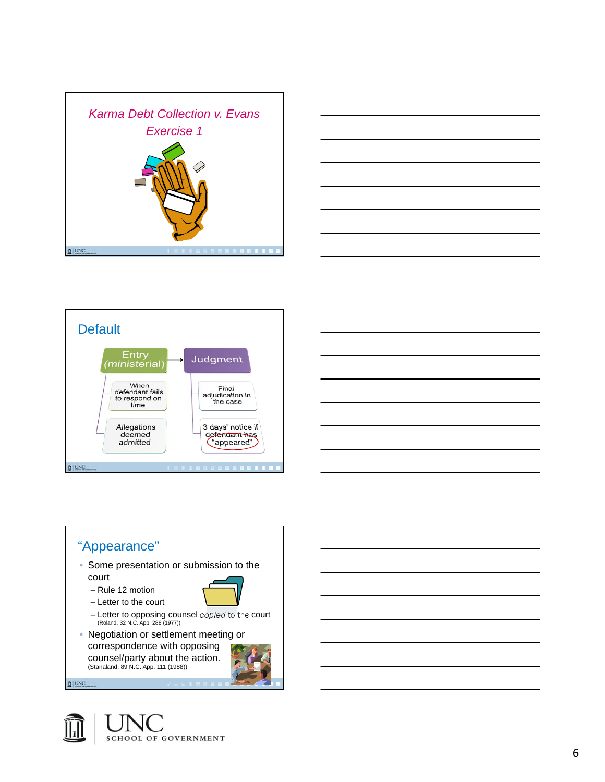









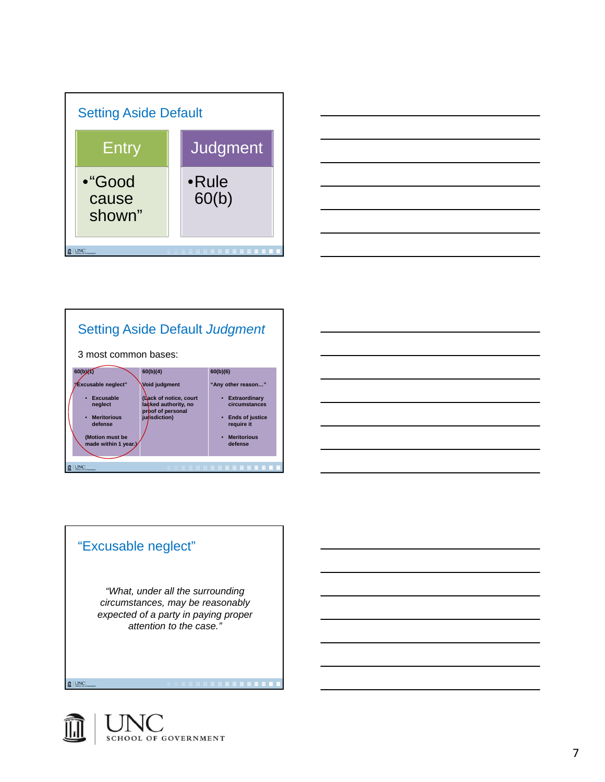



#### Setting Aside Default *Judgment* 3 most common bases: **60(b)(1) 60(b)(4) 60(b)(6) "Any other reason…" "Excusable neglect" Void judgment** • **Excusable (Lack of notice, court lacked authority, no proof of personal jurisdiction)** • **Extraordinary circumstances neglect** • **Meritorious**  • **Ends of justice require it defense (Motion must be made within 1 year.)** • **Meritorious defense Q** UNC



*"What, under all the surrounding circumstances, may be reasonably expected of a party in paying proper attention to the case."*

**NO DE LA PERSONA DE LA CALIFACIA DE LA CALIFACIA DE LA CALIFACIA DE LA CALIFACIA DE LA CALIFACIA DE LA CALIFACIA** 

**SCHOOL OF GOVERNMENT** 

**Q** UNC

"Excusable neglect"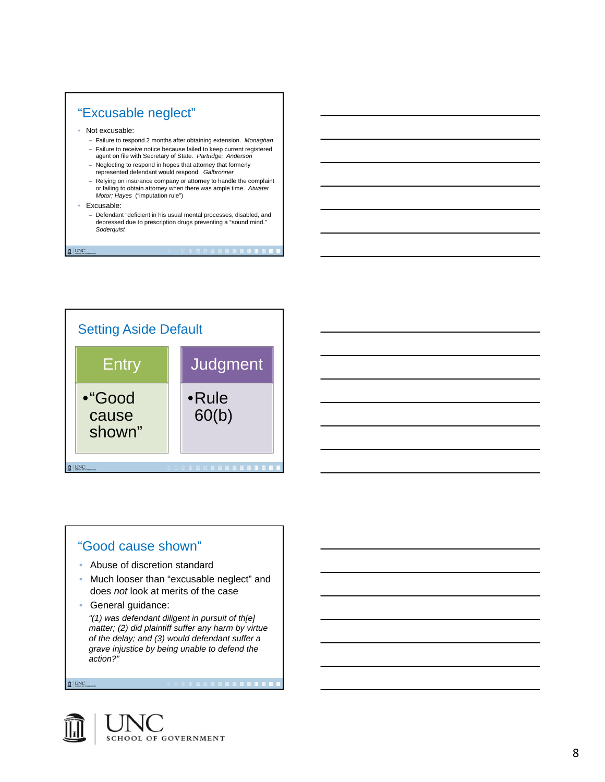





#### "Good cause shown"

- Abuse of discretion standard
- Much looser than "excusable neglect" and does *not* look at merits of the case
- General guidance:

*"(1) was defendant diligent in pursuit of th[e] matter; (2) did plaintiff suffer any harm by virtue of the delay; and (3) would defendant suffer a grave injustice by being unable to defend the action?"* 

**BRITISH SHIPS SHIPS** 

**Q** UNC

**Q** UNC

**SCHOOL OF GOVERNMENT**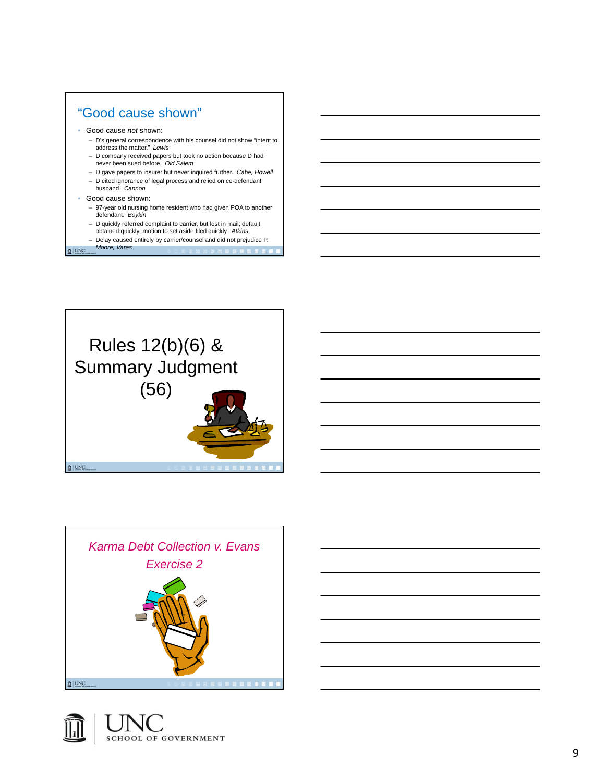







9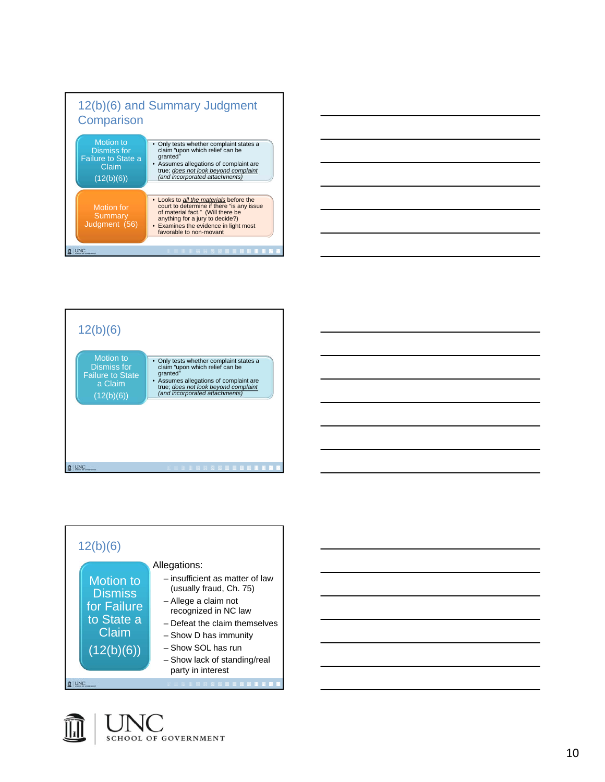









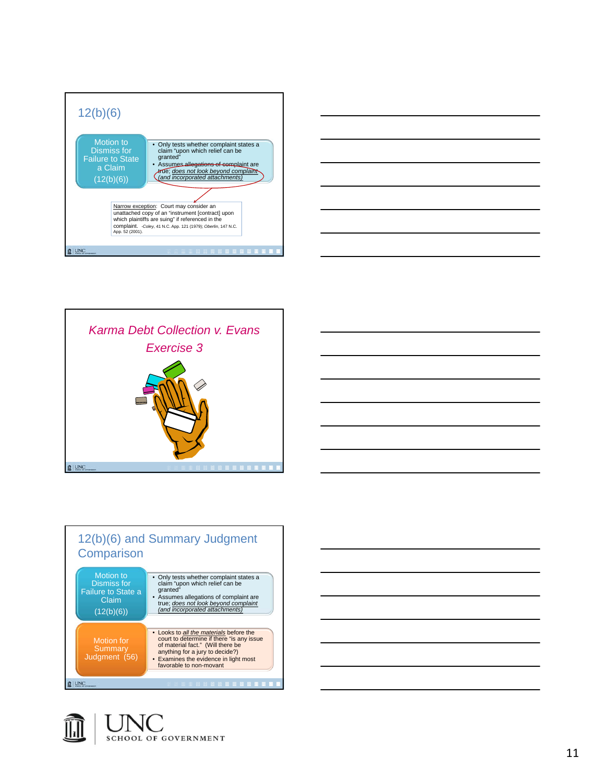











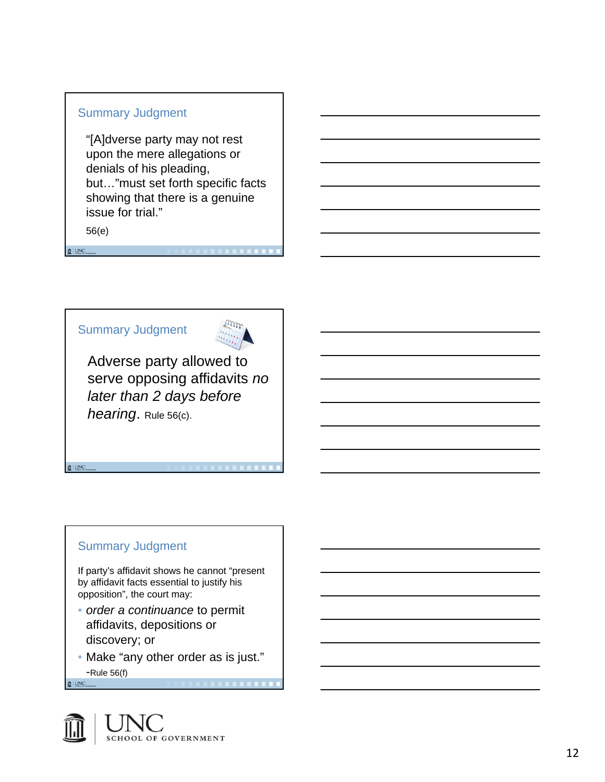#### Summary Judgment

"[A]dverse party may not rest upon the mere allegations or denials of his pleading, but…"must set forth specific facts showing that there is a genuine issue for trial."

56(e)

**Q** UNC

**Q** UNC





Adverse party allowed to serve opposing affidavits *no later than 2 days before hearing*. Rule 56(c).

## Summary Judgment

If party's affidavit shows he cannot "present by affidavit facts essential to justify his opposition", the court may:

- *order a continuance* to permit affidavits, depositions or discovery; or
- Make "any other order as is just." -Rule 56(f)**Q**UNC